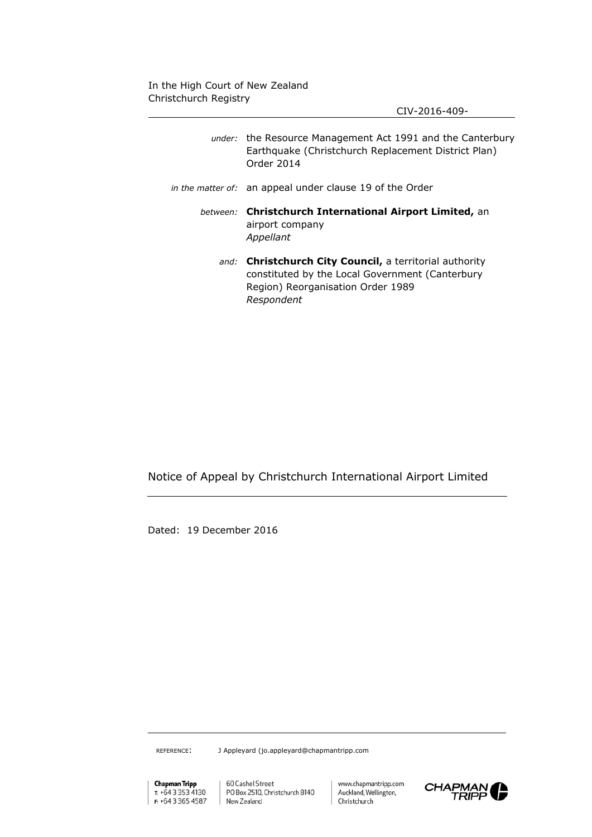CIV-2016-409-

| <i>under:</i> the Resource Management Act 1991 and the Canterbury<br>Earthquake (Christchurch Replacement District Plan)<br>Order 2014                        |
|---------------------------------------------------------------------------------------------------------------------------------------------------------------|
| in the matter of: an appeal under clause 19 of the Order                                                                                                      |
| between: Christchurch International Airport Limited, an<br>airport company<br>Appellant                                                                       |
| and: Christchurch City Council, a territorial authority<br>constituted by the Local Government (Canterbury<br>Region) Reorganisation Order 1989<br>Respondent |

Notice of Appeal by Christchurch International Airport Limited

Dated: 19 December 2016

REFERENCE: J Appleyard (jo.appleyard@chapmantripp.com

**Chapman Tripp**<br>T: +64 3 353 4130 F: +64 3 365 4587 New Zealand

60 Cashel Street  $\mathbf{I}$ PO Box 2510, Christchurch 8140

www.chapmantripp.com Auckland, Wellington, Christchurch

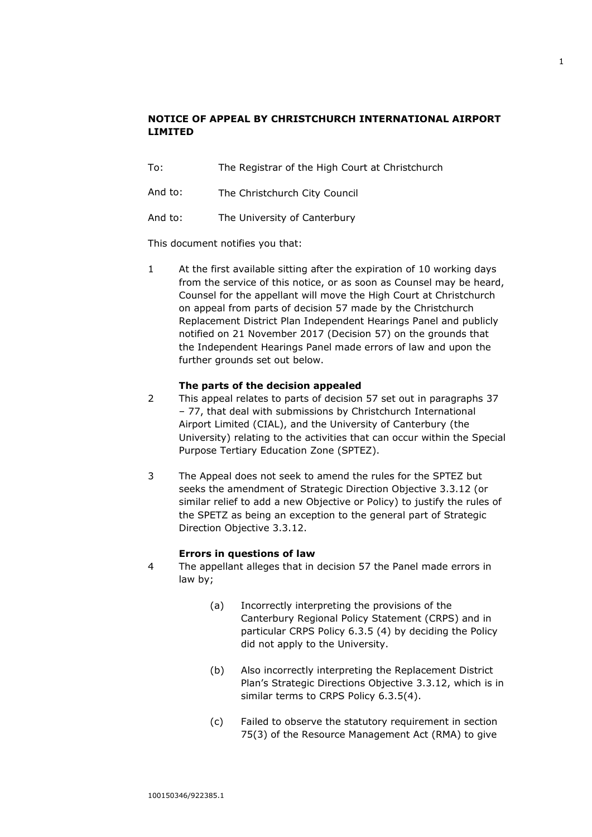# **NOTICE OF APPEAL BY CHRISTCHURCH INTERNATIONAL AIRPORT LIMITED**

- To: The Registrar of the High Court at Christchurch
- And to: The Christchurch City Council
- And to: The University of Canterbury

This document notifies you that:

1 At the first available sitting after the expiration of 10 working days from the service of this notice, or as soon as Counsel may be heard, Counsel for the appellant will move the High Court at Christchurch on appeal from parts of decision 57 made by the Christchurch Replacement District Plan Independent Hearings Panel and publicly notified on 21 November 2017 (Decision 57) on the grounds that the Independent Hearings Panel made errors of law and upon the further grounds set out below.

## **The parts of the decision appealed**

- 2 This appeal relates to parts of decision 57 set out in paragraphs 37 – 77, that deal with submissions by Christchurch International Airport Limited (CIAL), and the University of Canterbury (the University) relating to the activities that can occur within the Special Purpose Tertiary Education Zone (SPTEZ).
- 3 The Appeal does not seek to amend the rules for the SPTEZ but seeks the amendment of Strategic Direction Objective 3.3.12 (or similar relief to add a new Objective or Policy) to justify the rules of the SPETZ as being an exception to the general part of Strategic Direction Objective 3.3.12.

## **Errors in questions of law**

- 4 The appellant alleges that in decision 57 the Panel made errors in law by;
	- (a) Incorrectly interpreting the provisions of the Canterbury Regional Policy Statement (CRPS) and in particular CRPS Policy 6.3.5 (4) by deciding the Policy did not apply to the University.
	- (b) Also incorrectly interpreting the Replacement District Plan's Strategic Directions Objective 3.3.12, which is in similar terms to CRPS Policy 6.3.5(4).
	- (c) Failed to observe the statutory requirement in section 75(3) of the Resource Management Act (RMA) to give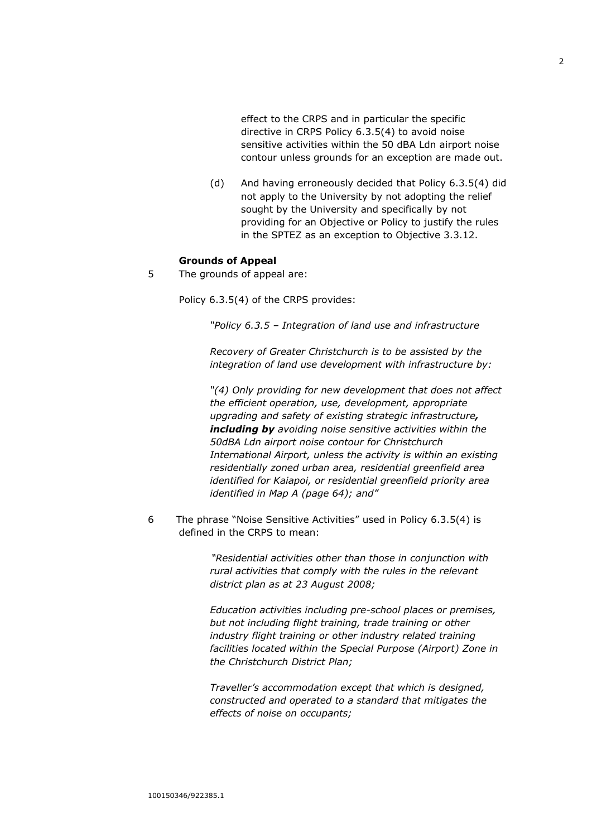effect to the CRPS and in particular the specific directive in CRPS Policy 6.3.5(4) to avoid noise sensitive activities within the 50 dBA Ldn airport noise contour unless grounds for an exception are made out.

(d) And having erroneously decided that Policy 6.3.5(4) did not apply to the University by not adopting the relief sought by the University and specifically by not providing for an Objective or Policy to justify the rules in the SPTEZ as an exception to Objective 3.3.12.

#### **Grounds of Appeal**

5 The grounds of appeal are:

Policy 6.3.5(4) of the CRPS provides:

*"Policy 6.3.5 – Integration of land use and infrastructure* 

*Recovery of Greater Christchurch is to be assisted by the integration of land use development with infrastructure by:* 

*"(4) Only providing for new development that does not affect the efficient operation, use, development, appropriate upgrading and safety of existing strategic infrastructure, including by avoiding noise sensitive activities within the 50dBA Ldn airport noise contour for Christchurch International Airport, unless the activity is within an existing residentially zoned urban area, residential greenfield area identified for Kaiapoi, or residential greenfield priority area identified in Map A (page 64); and"*

6 The phrase "Noise Sensitive Activities" used in Policy 6.3.5(4) is defined in the CRPS to mean:

> *"Residential activities other than those in conjunction with rural activities that comply with the rules in the relevant district plan as at 23 August 2008;*

*Education activities including pre-school places or premises, but not including flight training, trade training or other industry flight training or other industry related training facilities located within the Special Purpose (Airport) Zone in the Christchurch District Plan;*

*Traveller's accommodation except that which is designed, constructed and operated to a standard that mitigates the effects of noise on occupants;*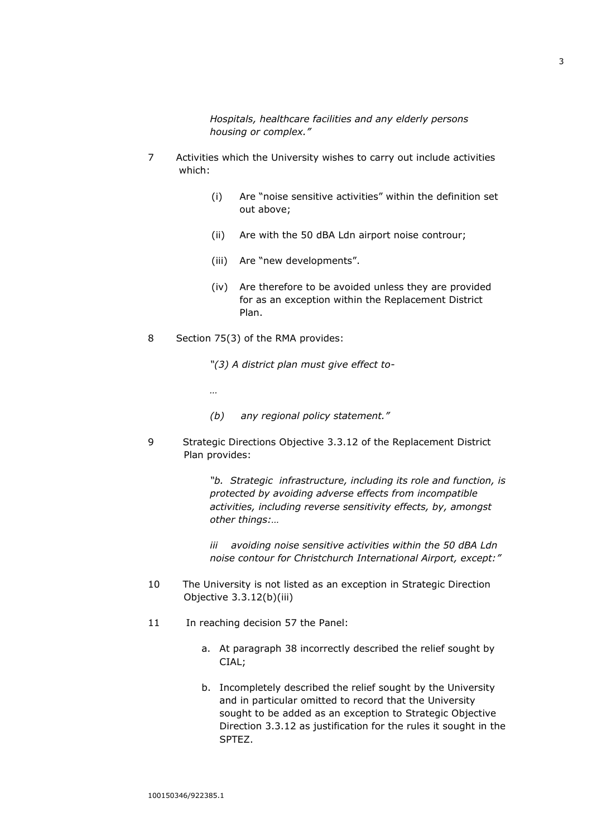*Hospitals, healthcare facilities and any elderly persons housing or complex."*

- 7 Activities which the University wishes to carry out include activities which:
	- (i) Are "noise sensitive activities" within the definition set out above;
	- (ii) Are with the 50 dBA Ldn airport noise controur;
	- (iii) Are "new developments".
	- (iv) Are therefore to be avoided unless they are provided for as an exception within the Replacement District Plan.
- 8 Section 75(3) of the RMA provides:

*…*

*"(3) A district plan must give effect to-*

- *(b) any regional policy statement."*
- 9 Strategic Directions Objective 3.3.12 of the Replacement District Plan provides:

*"b. Strategic infrastructure, including its role and function, is protected by avoiding adverse effects from incompatible activities, including reverse sensitivity effects, by, amongst other things:…*

*iii avoiding noise sensitive activities within the 50 dBA Ldn noise contour for Christchurch International Airport, except:"*

- 10 The University is not listed as an exception in Strategic Direction Objective 3.3.12(b)(iii)
- 11 In reaching decision 57 the Panel:
	- a. At paragraph 38 incorrectly described the relief sought by CIAL:
	- b. Incompletely described the relief sought by the University and in particular omitted to record that the University sought to be added as an exception to Strategic Objective Direction 3.3.12 as justification for the rules it sought in the SPTEZ.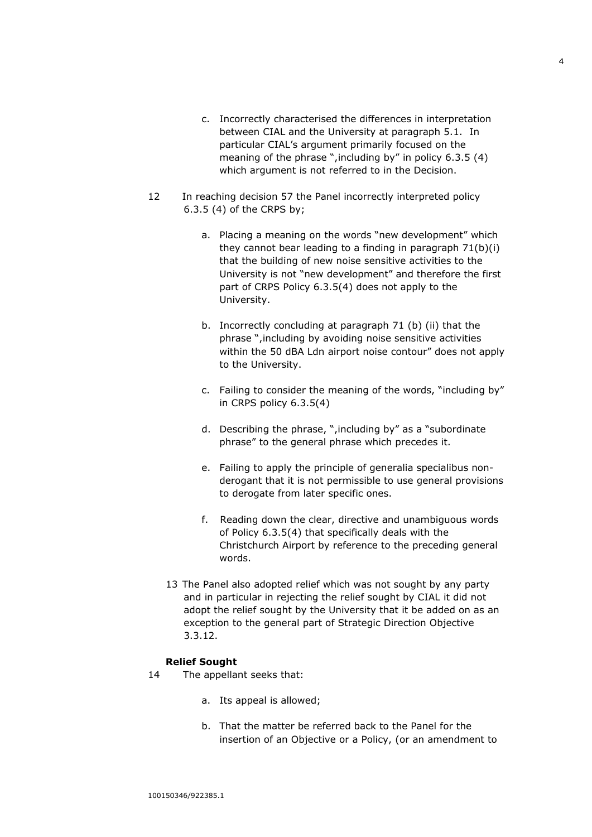- c. Incorrectly characterised the differences in interpretation between CIAL and the University at paragraph 5.1. In particular CIAL's argument primarily focused on the meaning of the phrase ",including by" in policy 6.3.5 (4) which argument is not referred to in the Decision.
- 12 In reaching decision 57 the Panel incorrectly interpreted policy 6.3.5 (4) of the CRPS by;
	- a. Placing a meaning on the words "new development" which they cannot bear leading to a finding in paragraph 71(b)(i) that the building of new noise sensitive activities to the University is not "new development" and therefore the first part of CRPS Policy 6.3.5(4) does not apply to the University.
	- b. Incorrectly concluding at paragraph 71 (b) (ii) that the phrase ",including by avoiding noise sensitive activities within the 50 dBA Ldn airport noise contour" does not apply to the University.
	- c. Failing to consider the meaning of the words, "including by" in CRPS policy 6.3.5(4)
	- d. Describing the phrase, ",including by" as a "subordinate phrase" to the general phrase which precedes it.
	- e. Failing to apply the principle of generalia specialibus nonderogant that it is not permissible to use general provisions to derogate from later specific ones.
	- f. Reading down the clear, directive and unambiguous words of Policy 6.3.5(4) that specifically deals with the Christchurch Airport by reference to the preceding general words.
	- 13 The Panel also adopted relief which was not sought by any party and in particular in rejecting the relief sought by CIAL it did not adopt the relief sought by the University that it be added on as an exception to the general part of Strategic Direction Objective 3.3.12.

#### **Relief Sought**

- 14 The appellant seeks that:
	- a. Its appeal is allowed;
	- b. That the matter be referred back to the Panel for the insertion of an Objective or a Policy, (or an amendment to